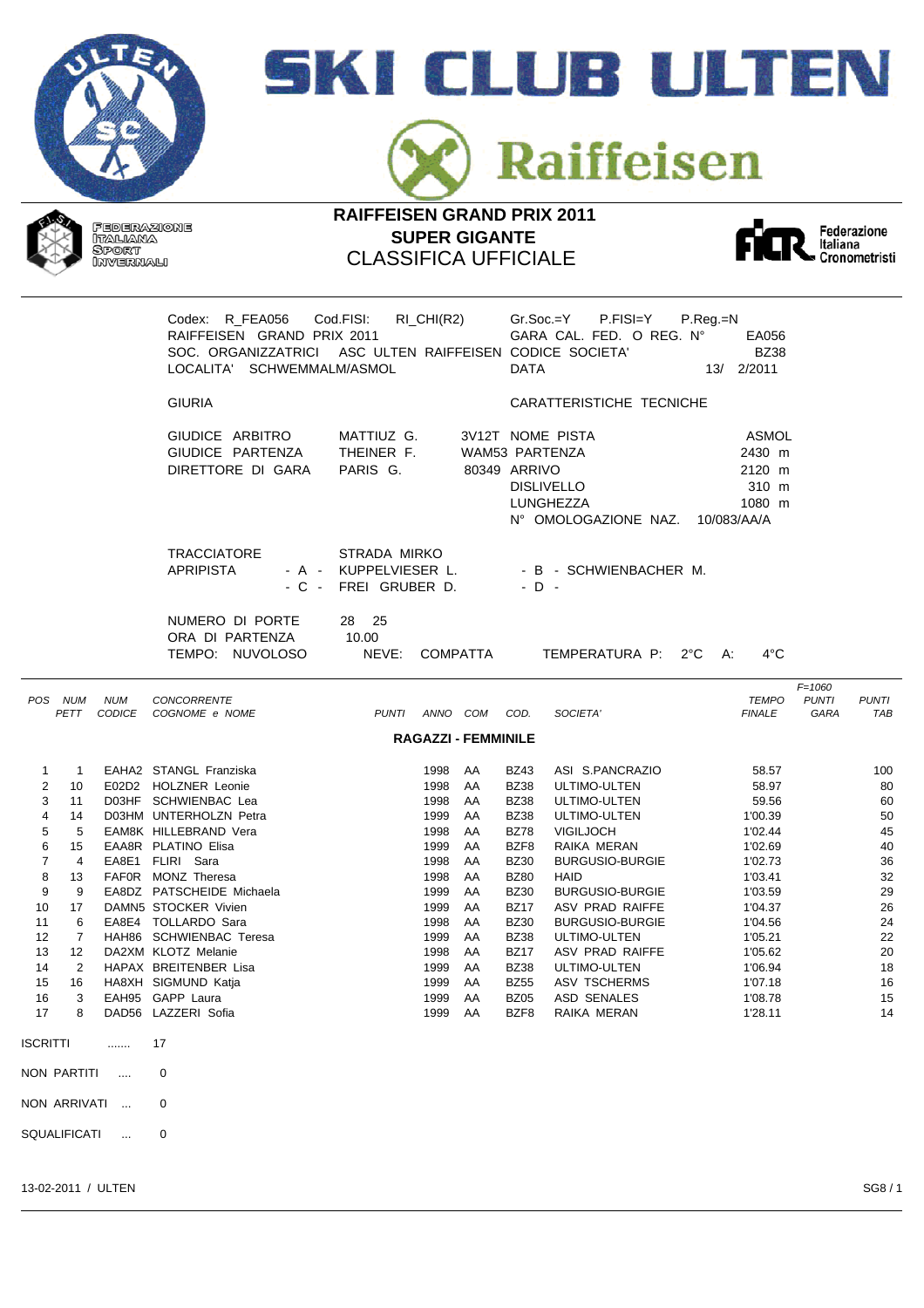



Raiffeisen

**RAIFFEISEN GRAND PRIX 2011 SUPER GIGANTE** CLASSIFICA UFFICIALE



|                                                                                                                                                                                                                                                                                                                                                  |                                   | Codex: R_FEA056 Cod.FISI:<br>RAIFFEISEN GRAND PRIX 2011<br>SOC. ORGANIZZATRICI ASC ULTEN RAIFFEISEN CODICE SOCIETA'<br>LOCALITA' SCHWEMMALM/ASMOL                                                                                                                                                                                                                                                                                        |                                                               | $RI_CHI(R2)$                                                                                                                            |                                                                                              | <b>DATA</b>                                                                                                                                                                                                                                   | $Gr.Soc.=Y$ P.FISI=Y<br>GARA CAL. FED. O REG. Nº                                                                                                                                                                                                                                                                    | $P_{\cdot}$ Reg $_{\cdot}$ =N<br>EA056<br><b>BZ38</b><br>13/ 2/2011                                                                                                               |                                    |                                                                                                     |
|--------------------------------------------------------------------------------------------------------------------------------------------------------------------------------------------------------------------------------------------------------------------------------------------------------------------------------------------------|-----------------------------------|------------------------------------------------------------------------------------------------------------------------------------------------------------------------------------------------------------------------------------------------------------------------------------------------------------------------------------------------------------------------------------------------------------------------------------------|---------------------------------------------------------------|-----------------------------------------------------------------------------------------------------------------------------------------|----------------------------------------------------------------------------------------------|-----------------------------------------------------------------------------------------------------------------------------------------------------------------------------------------------------------------------------------------------|---------------------------------------------------------------------------------------------------------------------------------------------------------------------------------------------------------------------------------------------------------------------------------------------------------------------|-----------------------------------------------------------------------------------------------------------------------------------------------------------------------------------|------------------------------------|-----------------------------------------------------------------------------------------------------|
|                                                                                                                                                                                                                                                                                                                                                  |                                   | <b>GIURIA</b>                                                                                                                                                                                                                                                                                                                                                                                                                            |                                                               |                                                                                                                                         |                                                                                              |                                                                                                                                                                                                                                               | CARATTERISTICHE TECNICHE                                                                                                                                                                                                                                                                                            |                                                                                                                                                                                   |                                    |                                                                                                     |
|                                                                                                                                                                                                                                                                                                                                                  |                                   | GIUDICE ARBITRO<br>GIUDICE PARTENZA<br>DIRETTORE DI GARA                                                                                                                                                                                                                                                                                                                                                                                 | MATTIUZ G.<br>THEINER F.<br>PARIS G.                          |                                                                                                                                         |                                                                                              | 80349 ARRIVO                                                                                                                                                                                                                                  | 3V12T NOME PISTA<br>WAM53 PARTENZA<br><b>DISLIVELLO</b><br>LUNGHEZZA<br>N° OMOLOGAZIONE NAZ.                                                                                                                                                                                                                        | ASMOL<br>2430 m<br>2120 m<br>310 m<br>1080 m<br>10/083/AA/A                                                                                                                       |                                    |                                                                                                     |
|                                                                                                                                                                                                                                                                                                                                                  |                                   | <b>TRACCIATORE</b><br><b>APRIPISTA</b>                                                                                                                                                                                                                                                                                                                                                                                                   | STRADA MIRKO<br>- A - KUPPELVIESER L.<br>- C - FREI GRUBER D. |                                                                                                                                         |                                                                                              | $-D -$                                                                                                                                                                                                                                        | - B - SCHWIENBACHER M.                                                                                                                                                                                                                                                                                              |                                                                                                                                                                                   |                                    |                                                                                                     |
|                                                                                                                                                                                                                                                                                                                                                  |                                   | NUMERO DI PORTE<br>ORA DI PARTENZA<br>TEMPO: NUVOLOSO                                                                                                                                                                                                                                                                                                                                                                                    | 28 25<br>10.00<br>NEVE:                                       |                                                                                                                                         | COMPATTA                                                                                     |                                                                                                                                                                                                                                               | TEMPERATURA P: 2°C A:                                                                                                                                                                                                                                                                                               | $4^{\circ}$ C                                                                                                                                                                     |                                    |                                                                                                     |
| POS NUM<br>PETT                                                                                                                                                                                                                                                                                                                                  | <b>NUM</b>                        | <b>CONCORRENTE</b><br>CODICE COGNOME e NOME                                                                                                                                                                                                                                                                                                                                                                                              |                                                               | PUNTI ANNO COM COD.<br><b>RAGAZZI - FEMMINILE</b>                                                                                       |                                                                                              |                                                                                                                                                                                                                                               | SOCIETA'                                                                                                                                                                                                                                                                                                            | <b>TEMPO</b><br><b>FINALE</b>                                                                                                                                                     | $F = 1060$<br><b>PUNTI</b><br>GARA | <b>PUNTI</b><br>TAB                                                                                 |
| 1<br>$\overline{1}$<br>2<br>10<br>3<br>11<br>$\overline{4}$<br>14<br>5<br>5<br>6<br>15<br>$\overline{7}$<br>$\overline{4}$<br>8<br>13<br>9<br>9<br>10<br>17<br>11<br>-6<br>12<br>$\overline{7}$<br>13<br>$12 \overline{ }$<br>14<br>2<br>15<br>16<br>3<br>16<br>8<br>17<br><b>ISCRITTI</b><br>NON PARTITI<br>NON ARRIVATI<br><b>SQUALIFICATI</b> | .<br>$\sim$<br>$\sim$<br>$\cdots$ | EAHA2 STANGL Franziska<br>E02D2 HOLZNER Leonie<br>D03HF SCHWIENBAC Lea<br>D03HM UNTERHOLZN Petra<br>EAM8K HILLEBRAND Vera<br>EAA8R PLATINO Elisa<br>EA8E1 FLIRI Sara<br>FAF0R MONZ Theresa<br>EA8DZ PATSCHEIDE Michaela<br>DAMN5 STOCKER Vivien<br>EA8E4 TOLLARDO Sara<br>HAH86 SCHWIENBAC Teresa<br>DA2XM KLOTZ Melanie<br>HAPAX BREITENBER Lisa<br>HA8XH SIGMUND Katja<br>EAH95 GAPP Laura<br>DAD56 LAZZERI Sofia<br>17<br>0<br>0<br>0 |                                                               | 1998 AA<br>1998<br>1998<br>1999<br>1998<br>1999<br>1998<br>1998<br>1999<br>1999<br>1998<br>1999<br>1998<br>1999<br>1999<br>1999<br>1999 | AA<br>AA<br>AA<br>AA<br>AA<br>AA<br>AA<br>AA<br>AA<br>AA<br>AA<br>AA<br>AA<br>AA<br>AA<br>AA | <b>BZ43</b><br><b>BZ38</b><br><b>BZ38</b><br><b>BZ38</b><br><b>BZ78</b><br>BZF8<br><b>BZ30</b><br><b>BZ80</b><br><b>BZ30</b><br><b>BZ17</b><br><b>BZ30</b><br><b>BZ38</b><br><b>BZ17</b><br><b>BZ38</b><br><b>BZ55</b><br><b>BZ05</b><br>BZF8 | ASI S.PANCRAZIO<br>ULTIMO-ULTEN<br>ULTIMO-ULTEN<br>ULTIMO-ULTEN<br><b>VIGILJOCH</b><br>RAIKA MERAN<br><b>BURGUSIO-BURGIE</b><br><b>HAID</b><br><b>BURGUSIO-BURGIE</b><br>ASV PRAD RAIFFE<br><b>BURGUSIO-BURGIE</b><br>ULTIMO-ULTEN<br>ASV PRAD RAIFFE<br>ULTIMO-ULTEN<br>ASV TSCHERMS<br>ASD SENALES<br>RAIKA MERAN | 58.57<br>58.97<br>59.56<br>1'00.39<br>1'02.44<br>1'02.69<br>1'02.73<br>1'03.41<br>1'03.59<br>1'04.37<br>1'04.56<br>1'05.21<br>1'05.62<br>1'06.94<br>1'07.18<br>1'08.78<br>1'28.11 |                                    | 100<br>80<br>60<br>50<br>45<br>40<br>36<br>32<br>29<br>26<br>24<br>22<br>20<br>18<br>16<br>15<br>14 |
|                                                                                                                                                                                                                                                                                                                                                  |                                   |                                                                                                                                                                                                                                                                                                                                                                                                                                          |                                                               |                                                                                                                                         |                                                                                              |                                                                                                                                                                                                                                               |                                                                                                                                                                                                                                                                                                                     |                                                                                                                                                                                   |                                    |                                                                                                     |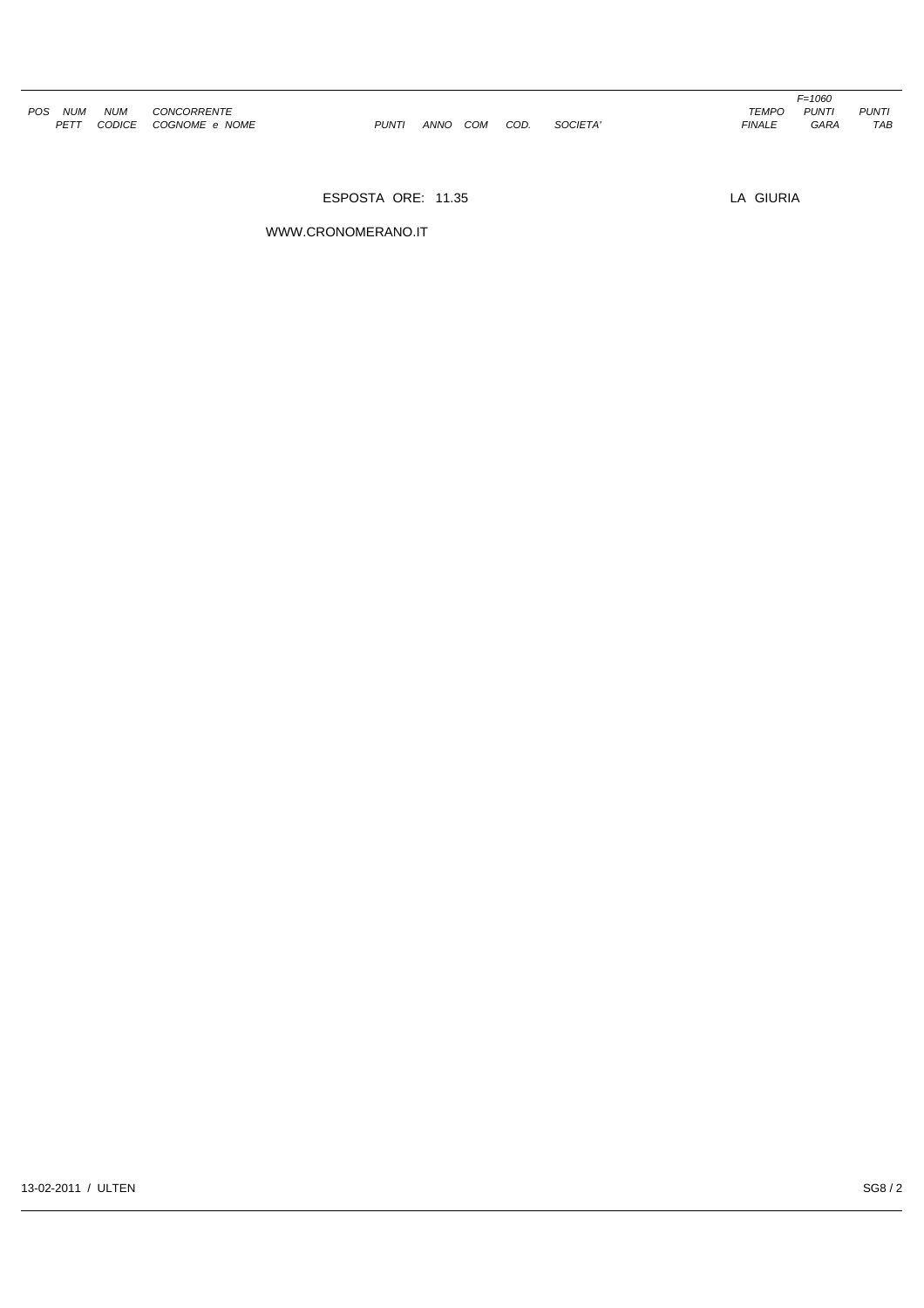|     |            |            |                       |              |      |     |      |          |               | F=1060       |              |
|-----|------------|------------|-----------------------|--------------|------|-----|------|----------|---------------|--------------|--------------|
| POS | <b>NUM</b> | <b>NUM</b> | CONCORRENTE           |              |      |     |      |          | <b>TEMPO</b>  | <b>PUNTI</b> | <b>PUNTI</b> |
|     | PETT       |            | CODICE COGNOME e NOME | <b>PUNTI</b> | ANNO | COM | COD. | SOCIETA' | <b>FINALE</b> | GARA         | <b>TAB</b>   |

*F=1060<br>TEMPO PUNTI<br>FINALE GARA* 

ESPOSTA ORE: 11.35 LA GIURIA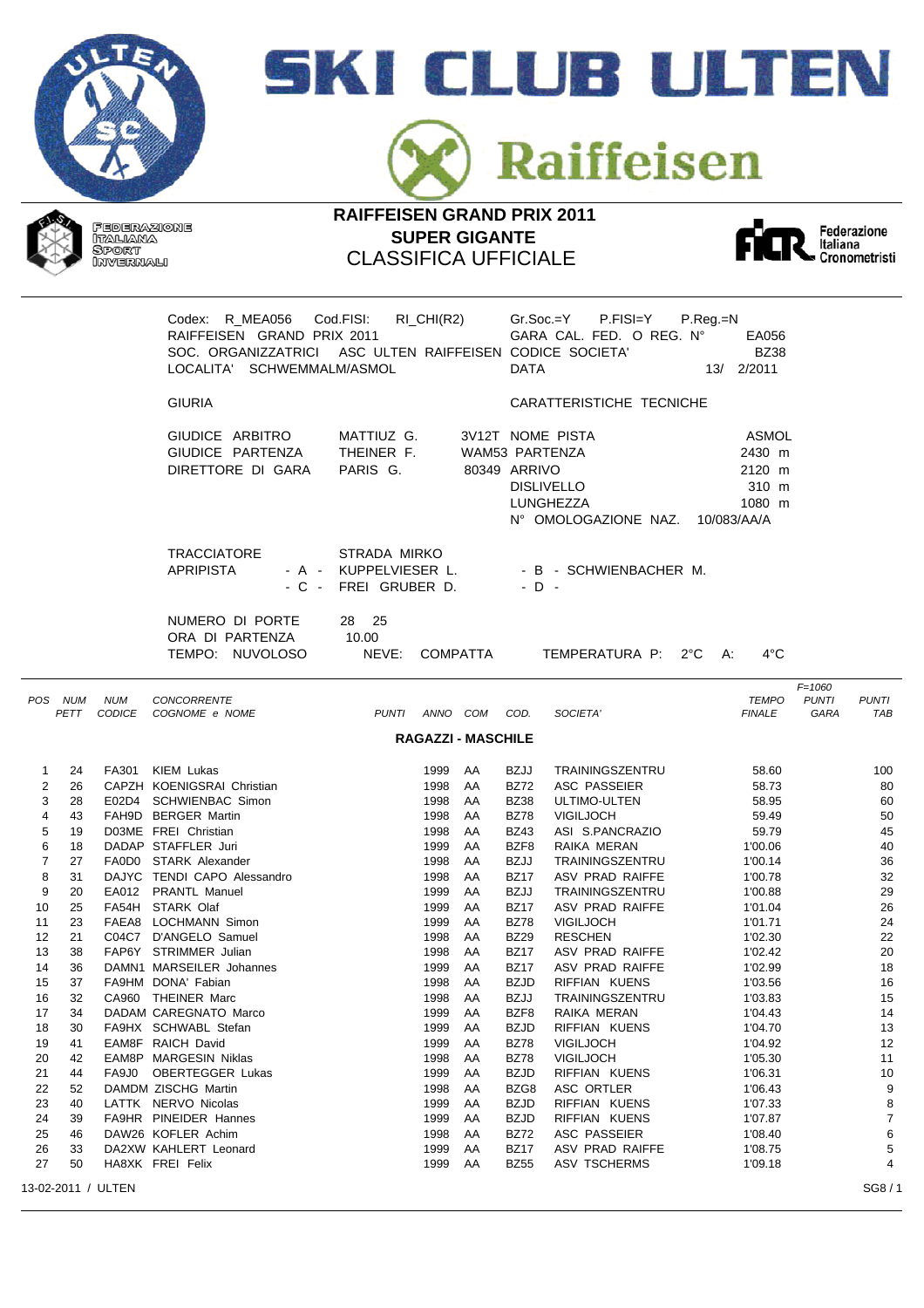



Raiffeisen





|                |                 |                    | Codex: R_MEA056<br>RAIFFEISEN GRAND PRIX 2011<br>SOC. ORGANIZZATRICI ASC ULTEN RAIFFEISEN CODICE SOCIETA'<br>LOCALITA' SCHWEMMALM/ASMOL | Cod.FISI:                                         | RI_CHI(R2) |                           | <b>DATA</b>                    | P.FISI=Y<br>Gr.Soc.=Y<br>GARA CAL. FED. O REG. Nº                          | P.Reg.=N | EA056<br><b>BZ38</b><br>13/ 2/2011                                 |                                    |                            |
|----------------|-----------------|--------------------|-----------------------------------------------------------------------------------------------------------------------------------------|---------------------------------------------------|------------|---------------------------|--------------------------------|----------------------------------------------------------------------------|----------|--------------------------------------------------------------------|------------------------------------|----------------------------|
|                |                 |                    | <b>GIURIA</b>                                                                                                                           |                                                   |            |                           |                                | CARATTERISTICHE TECNICHE                                                   |          |                                                                    |                                    |                            |
|                |                 |                    | GIUDICE ARBITRO<br>GIUDICE PARTENZA<br>DIRETTORE DI GARA                                                                                | MATTIUZ G.<br>THEINER F.<br>PARIS G.              |            |                           | WAM53 PARTENZA<br>80349 ARRIVO | 3V12T NOME PISTA<br><b>DISLIVELLO</b><br>LUNGHEZZA<br>N° OMOLOGAZIONE NAZ. |          | <b>ASMOL</b><br>2430 m<br>2120 m<br>310 m<br>1080 m<br>10/083/AA/A |                                    |                            |
|                |                 |                    | <b>TRACCIATORE</b><br><b>APRIPISTA</b><br>- A -<br>- C -                                                                                | STRADA MIRKO<br>KUPPELVIESER L.<br>FREI GRUBER D. |            |                           | $-D -$                         | - B - SCHWIENBACHER M.                                                     |          |                                                                    |                                    |                            |
|                |                 |                    | NUMERO DI PORTE<br>ORA DI PARTENZA<br>TEMPO: NUVOLOSO                                                                                   | 28 25<br>10.00<br>NEVE:                           |            | COMPATTA                  |                                | TEMPERATURA P: 2°C                                                         |          | $4^{\circ}$ C<br>A:                                                |                                    |                            |
|                | POS NUM<br>PETT | <b>NUM</b>         | CONCORRENTE<br>CODICE COGNOME e NOME                                                                                                    |                                                   |            | PUNTI ANNO COM COD.       |                                | SOCIETA'                                                                   |          | <b>TEMPO</b><br><b>FINALE</b>                                      | $F = 1060$<br><b>PUNTI</b><br>GARA | <b>PUNTI</b><br><b>TAB</b> |
|                |                 |                    |                                                                                                                                         |                                                   |            | <b>RAGAZZI - MASCHILE</b> |                                |                                                                            |          |                                                                    |                                    |                            |
| 1              | 24              |                    | FA301 KIEM Lukas                                                                                                                        |                                                   | 1999       | AA                        | <b>BZJJ</b>                    | TRAININGSZENTRU                                                            |          | 58.60                                                              |                                    | 100                        |
| 2              | 26              |                    | CAPZH KOENIGSRAI Christian                                                                                                              |                                                   | 1998       | AA                        | <b>BZ72</b>                    | <b>ASC PASSEIER</b>                                                        |          | 58.73                                                              |                                    | 80                         |
| 3              | 28              |                    | E02D4 SCHWIENBAC Simon                                                                                                                  |                                                   | 1998       | AA                        | <b>BZ38</b>                    | ULTIMO-ULTEN                                                               |          | 58.95                                                              |                                    | 60                         |
| 4              | 43              |                    | FAH9D BERGER Martin                                                                                                                     |                                                   | 1998       | AA                        | <b>BZ78</b>                    | <b>VIGILJOCH</b>                                                           |          | 59.49                                                              |                                    | 50                         |
| 5              | 19              |                    | D03ME FREI Christian                                                                                                                    |                                                   | 1998       | AA                        | <b>BZ43</b>                    | ASI S.PANCRAZIO                                                            |          | 59.79                                                              |                                    | 45                         |
| 6              | 18              |                    | DADAP STAFFLER Juri                                                                                                                     |                                                   | 1999       | AA                        | BZF8                           | RAIKA MERAN                                                                |          | 1'00.06                                                            |                                    | 40                         |
| $\overline{7}$ | 27              |                    | FA0D0 STARK Alexander                                                                                                                   |                                                   | 1998       | AA                        | <b>BZJJ</b>                    | TRAININGSZENTRU                                                            |          | 1'00.14                                                            |                                    | 36                         |
| 8              | 31              |                    | DAJYC TENDI CAPO Alessandro                                                                                                             |                                                   | 1998       | AA                        | <b>BZ17</b>                    | ASV PRAD RAIFFE                                                            |          | 1'00.78                                                            |                                    | 32                         |
| 9              | 20              |                    | EA012 PRANTL Manuel                                                                                                                     |                                                   | 1999       | AA                        | <b>BZJJ</b>                    | TRAININGSZENTRU                                                            |          | 1'00.88                                                            |                                    | 29                         |
| 10             | 25              |                    | FA54H STARK Olaf                                                                                                                        |                                                   | 1999       | AA                        | <b>BZ17</b>                    | ASV PRAD RAIFFE                                                            |          | 1'01.04                                                            |                                    | 26                         |
| 11             | 23              |                    | FAEA8 LOCHMANN Simon                                                                                                                    |                                                   | 1999       | AA                        | <b>BZ78</b>                    | <b>VIGILJOCH</b>                                                           |          | 1'01.71                                                            |                                    | 24                         |
| 12             | 21              |                    | C04C7 D'ANGELO Samuel                                                                                                                   |                                                   | 1998       | AA                        | <b>BZ29</b>                    | <b>RESCHEN</b>                                                             |          | 1'02.30                                                            |                                    | 22                         |
| 13             | 38              |                    | FAP6Y STRIMMER Julian                                                                                                                   |                                                   | 1998       | AA                        | <b>BZ17</b>                    | ASV PRAD RAIFFE                                                            |          | 1'02.42                                                            |                                    | 20                         |
| 14             | 36              |                    | DAMN1 MARSEILER Johannes                                                                                                                |                                                   | 1999       | AA                        | <b>BZ17</b>                    | <b>ASV PRAD RAIFFE</b>                                                     |          | 1'02.99                                                            |                                    | 18                         |
| 15             | 37              |                    | FA9HM DONA' Fabian                                                                                                                      |                                                   | 1998       | AA                        | <b>BZJD</b>                    | RIFFIAN KUENS                                                              |          | 1'03.56                                                            |                                    | 16                         |
| 16             | 32              |                    | CA960 THEINER Marc                                                                                                                      |                                                   | 1998       | AA                        | <b>BZJJ</b>                    | TRAININGSZENTRU                                                            |          | 1'03.83                                                            |                                    | 15                         |
| 17             | 34              |                    | DADAM CAREGNATO Marco                                                                                                                   |                                                   | 1999       | AA                        | BZF8                           | RAIKA MERAN                                                                |          | 1'04.43                                                            |                                    | 14                         |
|                | 30              |                    | FA9HX SCHWABL Stefan                                                                                                                    |                                                   | 1999       | AA                        | <b>BZJD</b>                    | RIFFIAN KUENS                                                              |          | 1'04.70                                                            |                                    | 13                         |
| 18<br>19       | 41              |                    | EAM8F RAICH David                                                                                                                       |                                                   | 1999       | AA                        | <b>BZ78</b>                    | <b>VIGILJOCH</b>                                                           |          | 1'04.92                                                            |                                    | 12                         |
| 20             | 42              |                    | EAM8P MARGESIN Niklas                                                                                                                   |                                                   | 1998       | AA                        | <b>BZ78</b>                    | <b>VIGILJOCH</b>                                                           |          | 1'05.30                                                            |                                    | 11                         |
| 21             | 44              |                    | FA9J0 OBERTEGGER Lukas                                                                                                                  |                                                   | 1999       | AA                        | <b>BZJD</b>                    | RIFFIAN KUENS                                                              |          | 1'06.31                                                            |                                    | 10                         |
| 22             |                 |                    | DAMDM ZISCHG Martin                                                                                                                     |                                                   | 1998       | AA                        | BZG8                           |                                                                            |          |                                                                    |                                    | 9                          |
|                | 52<br>40        |                    |                                                                                                                                         |                                                   |            |                           |                                | ASC ORTLER<br>RIFFIAN KUENS                                                |          | 1'06.43                                                            |                                    |                            |
| 23             |                 |                    | LATTK NERVO Nicolas                                                                                                                     |                                                   | 1999       | AA                        | <b>BZJD</b>                    |                                                                            |          | 1'07.33                                                            |                                    | 8                          |
| 24             | 39              |                    | FA9HR PINEIDER Hannes                                                                                                                   |                                                   | 1999       | AA                        | <b>BZJD</b>                    | RIFFIAN KUENS                                                              |          | 1'07.87                                                            |                                    | 7                          |
| 25             | 46              |                    | DAW26 KOFLER Achim                                                                                                                      |                                                   | 1998       | AA                        | <b>BZ72</b>                    | ASC PASSEIER                                                               |          | 1'08.40                                                            |                                    | 6                          |
| 26             | 33              |                    | DA2XW KAHLERT Leonard                                                                                                                   |                                                   | 1999       | AA                        | <b>BZ17</b>                    | ASV PRAD RAIFFE                                                            |          | 1'08.75                                                            |                                    | 5                          |
| 27             | 50              |                    | HA8XK FREI Felix                                                                                                                        |                                                   | 1999       | AA                        | <b>BZ55</b>                    | ASV TSCHERMS                                                               |          | 1'09.18                                                            |                                    | 4                          |
|                |                 | 13-02-2011 / ULTEN |                                                                                                                                         |                                                   |            |                           |                                |                                                                            |          |                                                                    |                                    | SG8/1                      |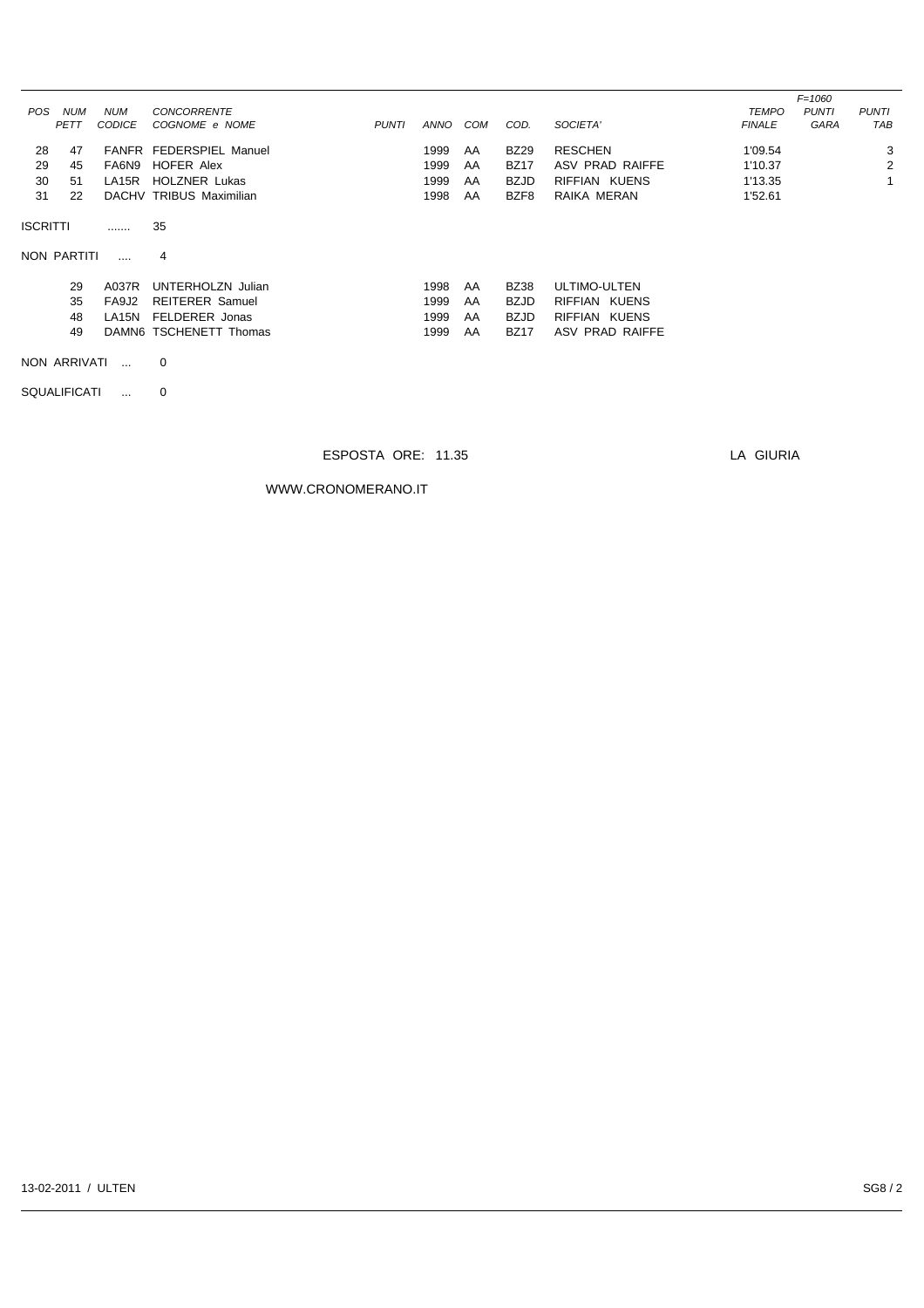| POS.            | <b>NUM</b>                               | <b>NUM</b>    | <b>CONCORRENTE</b>      |              |      |            |             |                 | <b>TEMPO</b>  | $F = 1060$<br><b>PUNTI</b> | <b>PUNTI</b> |
|-----------------|------------------------------------------|---------------|-------------------------|--------------|------|------------|-------------|-----------------|---------------|----------------------------|--------------|
|                 | PETT                                     | <b>CODICE</b> | COGNOME e NOME          | <b>PUNTI</b> | ANNO | <b>COM</b> | COD.        | SOCIETA'        | <b>FINALE</b> | <b>GARA</b>                | TAB          |
| 28              | 47                                       |               | FANFR FEDERSPIEL Manuel |              | 1999 | AA         | <b>BZ29</b> | <b>RESCHEN</b>  | 1'09.54       |                            | 3            |
| 29              | 45                                       | FA6N9         | HOFER Alex              |              | 1999 | AA         | <b>BZ17</b> | ASV PRAD RAIFFE | 1'10.37       |                            | 2            |
| 30              | 51                                       | LA15R         | <b>HOLZNER Lukas</b>    |              | 1999 | AA         | <b>BZJD</b> | RIFFIAN KUENS   | 1'13.35       |                            |              |
| 31              | 22                                       |               | DACHV TRIBUS Maximilian |              | 1998 | AA         | BZF8        | RAIKA MERAN     | 1'52.61       |                            |              |
| <b>ISCRITTI</b> |                                          |               | 35                      |              |      |            |             |                 |               |                            |              |
|                 | NON PARTITI                              |               | 4                       |              |      |            |             |                 |               |                            |              |
|                 | 29                                       | A037R         | UNTERHOLZN Julian       |              | 1998 | AA         | <b>BZ38</b> | ULTIMO-ULTEN    |               |                            |              |
|                 | 35                                       | FA9J2         | <b>REITERER Samuel</b>  |              | 1999 | AA         | <b>BZJD</b> | RIFFIAN KUENS   |               |                            |              |
|                 | 48                                       | LA15N         | FELDERER Jonas          |              | 1999 | AA         | <b>BZJD</b> | RIFFIAN KUENS   |               |                            |              |
|                 | 49                                       |               | DAMN6 TSCHENETT Thomas  |              | 1999 | AA         | <b>BZ17</b> | ASV PRAD RAIFFE |               |                            |              |
|                 | NON ARRIVATI<br>$\mathbf 0$<br>$\ddotsc$ |               |                         |              |      |            |             |                 |               |                            |              |

SQUALIFICATI ... 0

## ESPOSTA ORE: 11.35 LA GIURIA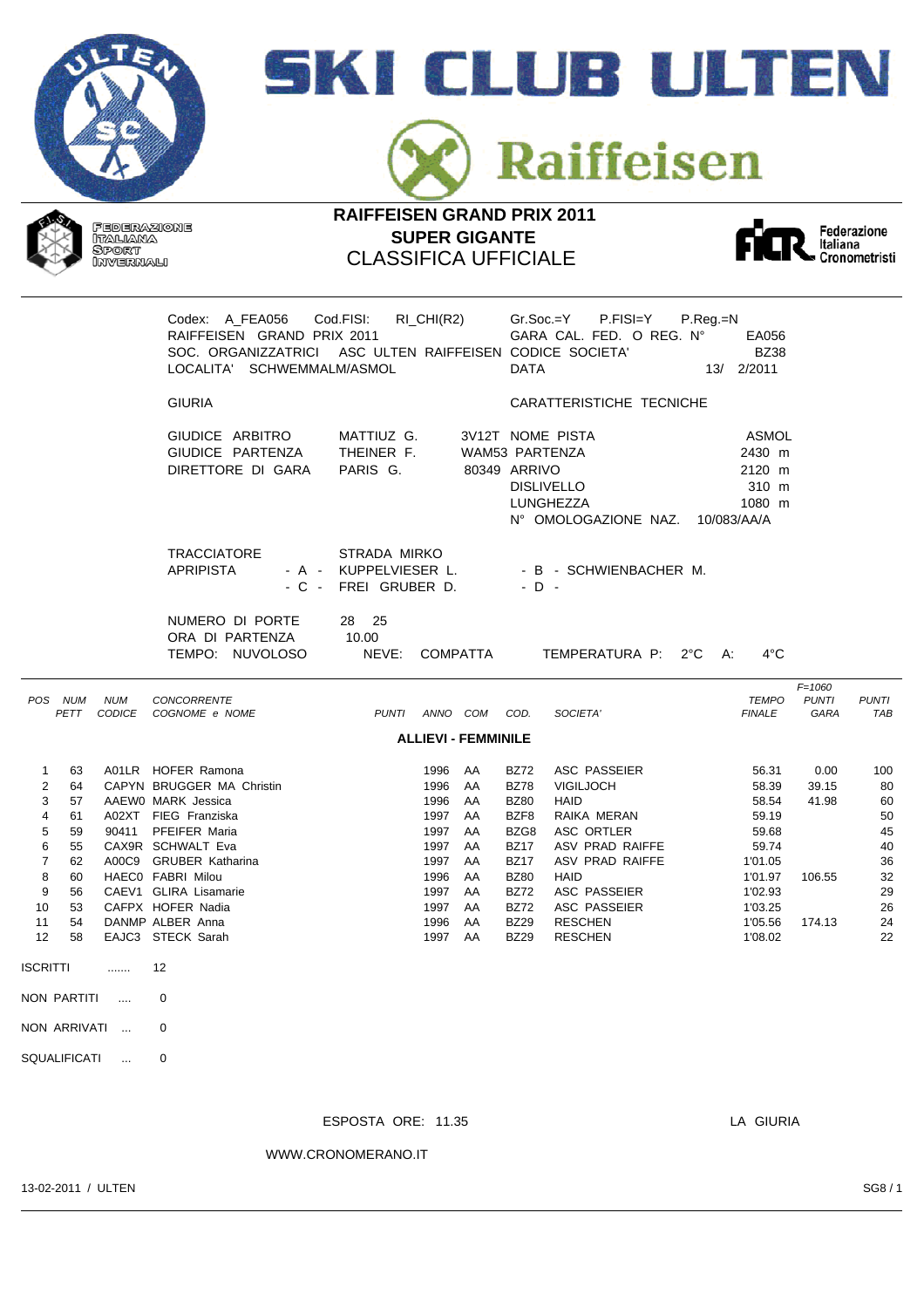







|                                                                                                                     |                                                                                     |                 | Codex: A_FEA056<br>RAIFFEISEN GRAND PRIX 2011<br>SOC. ORGANIZZATRICI ASC ULTEN RAIFFEISEN CODICE SOCIETA'<br>LOCALITA' SCHWEMMALM/ASMOL                                                                                                                                                              | Cod.FISI:                                                     | $RI_CHI(R2)$                                                                                 |                                                                      | <b>DATA</b>                                                                                                                                                        | $Gr.Soc = Y$<br>P.FISI=Y<br>GARA CAL. FED. O REG. Nº                                                                                                                                           | $P_{R}$ eg.= $N$<br>EA056<br><b>BZ38</b><br>13/ 2/2011                                                               |                                            |                                                                       |
|---------------------------------------------------------------------------------------------------------------------|-------------------------------------------------------------------------------------|-----------------|------------------------------------------------------------------------------------------------------------------------------------------------------------------------------------------------------------------------------------------------------------------------------------------------------|---------------------------------------------------------------|----------------------------------------------------------------------------------------------|----------------------------------------------------------------------|--------------------------------------------------------------------------------------------------------------------------------------------------------------------|------------------------------------------------------------------------------------------------------------------------------------------------------------------------------------------------|----------------------------------------------------------------------------------------------------------------------|--------------------------------------------|-----------------------------------------------------------------------|
|                                                                                                                     |                                                                                     |                 | <b>GIURIA</b>                                                                                                                                                                                                                                                                                        |                                                               |                                                                                              |                                                                      |                                                                                                                                                                    | CARATTERISTICHE TECNICHE                                                                                                                                                                       |                                                                                                                      |                                            |                                                                       |
|                                                                                                                     |                                                                                     |                 | GIUDICE ARBITRO<br>GIUDICE PARTENZA<br>DIRETTORE DI GARA                                                                                                                                                                                                                                             | MATTIUZ G.<br>THEINER F.<br>PARIS G.                          |                                                                                              | WAM53 PARTENZA<br>80349 ARRIVO                                       |                                                                                                                                                                    | 3V12T NOME PISTA<br><b>DISLIVELLO</b><br>LUNGHEZZA<br>N° OMOLOGAZIONE NAZ.                                                                                                                     | ASMOL<br>2430 m<br>2120 m<br>310 m<br>1080 m<br>10/083/AA/A                                                          |                                            |                                                                       |
|                                                                                                                     |                                                                                     |                 | <b>TRACCIATORE</b><br><b>APRIPISTA</b>                                                                                                                                                                                                                                                               | STRADA MIRKO<br>- A - KUPPELVIESER L.<br>- C - FREI GRUBER D. |                                                                                              |                                                                      | $-D -$                                                                                                                                                             | - B - SCHWIENBACHER M.                                                                                                                                                                         |                                                                                                                      |                                            |                                                                       |
|                                                                                                                     |                                                                                     |                 | NUMERO DI PORTE<br>ORA DI PARTENZA<br>TEMPO: NUVOLOSO                                                                                                                                                                                                                                                | 28 25<br>10.00<br>NEVE:                                       | <b>COMPATTA</b>                                                                              |                                                                      |                                                                                                                                                                    | TEMPERATURA P: 2°C A:                                                                                                                                                                          | $4^{\circ}$ C                                                                                                        |                                            |                                                                       |
|                                                                                                                     | POS NUM<br>PETT                                                                     | <b>NUM</b>      | CONCORRENTE<br>CODICE COGNOME e NOME                                                                                                                                                                                                                                                                 | PUNTI ANNO COM                                                |                                                                                              |                                                                      | COD.                                                                                                                                                               | SOCIETA'                                                                                                                                                                                       | <b>TEMPO</b><br><b>FINALE</b>                                                                                        | $F = 1060$<br><b>PUNTI</b><br>GARA         | <b>PUNTI</b><br><b>TAB</b>                                            |
|                                                                                                                     |                                                                                     |                 |                                                                                                                                                                                                                                                                                                      |                                                               |                                                                                              | <b>ALLIEVI - FEMMINILE</b>                                           |                                                                                                                                                                    |                                                                                                                                                                                                |                                                                                                                      |                                            |                                                                       |
| $\mathbf{1}$<br>$\overline{2}$<br>3<br>4<br>5<br>6<br>$\overline{7}$<br>8<br>9<br>10<br>11<br>12<br><b>ISCRITTI</b> | 63<br>64<br>57<br>61<br>59<br>55<br>62<br>60<br>56<br>53<br>54<br>58<br>NON PARTITI | .               | A01LR HOFER Ramona<br>CAPYN BRUGGER MA Christin<br>AAEW0 MARK Jessica<br>A02XT FIEG Franziska<br>90411 PFEIFER Maria<br>CAX9R SCHWALT Eva<br>A00C9 GRUBER Katharina<br>HAEC0 FABRI Milou<br>CAEV1 GLIRA Lisamarie<br>CAFPX HOFER Nadia<br>DANMP ALBER Anna<br>EAJC3 STECK Sarah<br>12<br>$\mathbf 0$ |                                                               | 1996<br>1996<br>1996<br>1997<br>1997<br>1997<br>1997<br>1996<br>1997<br>1997<br>1996<br>1997 | AA<br>AA<br>AA<br>AA<br>AA<br>AA<br>AA<br>AA<br>AA<br>AA<br>AA<br>AA | <b>BZ72</b><br><b>BZ78</b><br><b>BZ80</b><br>BZF8<br>BZG8<br><b>BZ17</b><br><b>BZ17</b><br><b>BZ80</b><br><b>BZ72</b><br><b>BZ72</b><br><b>BZ29</b><br><b>BZ29</b> | ASC PASSEIER<br><b>VIGILJOCH</b><br><b>HAID</b><br>RAIKA MERAN<br>ASC ORTLER<br>ASV PRAD RAIFFE<br>ASV PRAD RAIFFE<br>HAID<br>ASC PASSEIER<br>ASC PASSEIER<br><b>RESCHEN</b><br><b>RESCHEN</b> | 56.31<br>58.39<br>58.54<br>59.19<br>59.68<br>59.74<br>1'01.05<br>1'01.97<br>1'02.93<br>1'03.25<br>1'05.56<br>1'08.02 | 0.00<br>39.15<br>41.98<br>106.55<br>174.13 | 100<br>80<br>60<br>50<br>45<br>40<br>36<br>32<br>29<br>26<br>24<br>22 |
|                                                                                                                     |                                                                                     | $\sim$ . $\sim$ |                                                                                                                                                                                                                                                                                                      |                                                               |                                                                                              |                                                                      |                                                                                                                                                                    |                                                                                                                                                                                                |                                                                                                                      |                                            |                                                                       |
|                                                                                                                     | NON ARRIVATI                                                                        |                 | 0                                                                                                                                                                                                                                                                                                    |                                                               |                                                                                              |                                                                      |                                                                                                                                                                    |                                                                                                                                                                                                |                                                                                                                      |                                            |                                                                       |
|                                                                                                                     | SQUALIFICATI                                                                        |                 | 0                                                                                                                                                                                                                                                                                                    |                                                               |                                                                                              |                                                                      |                                                                                                                                                                    |                                                                                                                                                                                                |                                                                                                                      |                                            |                                                                       |

ESPOSTA ORE: 11.35 LA GIURIA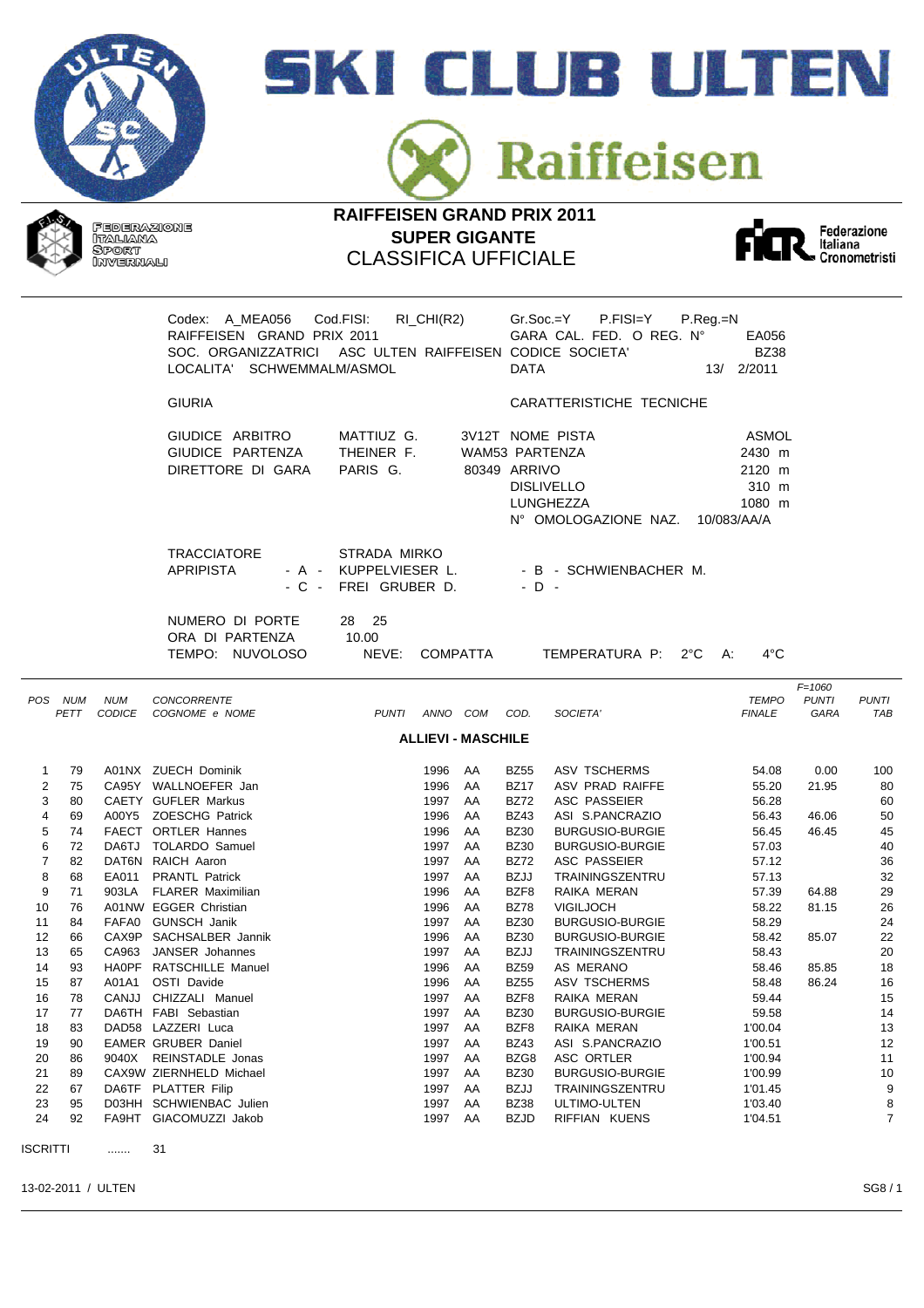







|                                                                                                                            |                                                                                                          |            | Codex: A MEA056 Cod.FISI:<br>RAIFFEISEN GRAND PRIX 2011<br>SOC. ORGANIZZATRICI ASC ULTEN RAIFFEISEN CODICE SOCIETA'<br>LOCALITA' SCHWEMMALM/ASMOL                                                                                                                                                                                                                                                                                                                             | $RI_CHI(R2)$                                                                                                                                                                                                                                   | $Gr.Soc.=Y$ $P.FISI=Y$<br>$P_{\cdot}$ Reg $_{\cdot}$ =N<br>GARA CAL. FED. O REG. Nº<br>EA056<br><b>BZ38</b><br><b>DATA</b><br>13/ 2/2011                                                                                                                                                                                                                                                                                                                                                                                                                                                                                     |                                                                |                                                                                                                                                                                                                      |                                                                                                                |  |  |  |
|----------------------------------------------------------------------------------------------------------------------------|----------------------------------------------------------------------------------------------------------|------------|-------------------------------------------------------------------------------------------------------------------------------------------------------------------------------------------------------------------------------------------------------------------------------------------------------------------------------------------------------------------------------------------------------------------------------------------------------------------------------|------------------------------------------------------------------------------------------------------------------------------------------------------------------------------------------------------------------------------------------------|------------------------------------------------------------------------------------------------------------------------------------------------------------------------------------------------------------------------------------------------------------------------------------------------------------------------------------------------------------------------------------------------------------------------------------------------------------------------------------------------------------------------------------------------------------------------------------------------------------------------------|----------------------------------------------------------------|----------------------------------------------------------------------------------------------------------------------------------------------------------------------------------------------------------------------|----------------------------------------------------------------------------------------------------------------|--|--|--|
|                                                                                                                            |                                                                                                          |            | <b>GIURIA</b>                                                                                                                                                                                                                                                                                                                                                                                                                                                                 |                                                                                                                                                                                                                                                | CARATTERISTICHE TECNICHE                                                                                                                                                                                                                                                                                                                                                                                                                                                                                                                                                                                                     |                                                                |                                                                                                                                                                                                                      |                                                                                                                |  |  |  |
|                                                                                                                            |                                                                                                          |            | GIUDICE ARBITRO<br>GIUDICE PARTENZA<br>DIRETTORE DI GARA                                                                                                                                                                                                                                                                                                                                                                                                                      | MATTIUZ G.<br>THEINER F.<br>PARIS G.                                                                                                                                                                                                           | 3V12T NOME PISTA<br>WAM53 PARTENZA<br>80349 ARRIVO<br><b>DISLIVELLO</b><br>LUNGHEZZA                                                                                                                                                                                                                                                                                                                                                                                                                                                                                                                                         | 2430 m<br>2120 m<br>1080 m<br>N° OMOLOGAZIONE NAZ. 10/083/AA/A | ASMOL<br>310 m                                                                                                                                                                                                       |                                                                                                                |  |  |  |
|                                                                                                                            |                                                                                                          |            | <b>TRACCIATORE</b><br><b>APRIPISTA</b>                                                                                                                                                                                                                                                                                                                                                                                                                                        | STRADA MIRKO<br>- A - KUPPELVIESER L.<br>- C - FREI GRUBER D.                                                                                                                                                                                  | - B - SCHWIENBACHER M.<br>$-D -$                                                                                                                                                                                                                                                                                                                                                                                                                                                                                                                                                                                             |                                                                |                                                                                                                                                                                                                      |                                                                                                                |  |  |  |
|                                                                                                                            |                                                                                                          |            | NUMERO DI PORTE<br>ORA DI PARTENZA<br>TEMPO: NUVOLOSO                                                                                                                                                                                                                                                                                                                                                                                                                         | 28 25<br>10.00<br>NEVE:<br><b>COMPATTA</b>                                                                                                                                                                                                     |                                                                                                                                                                                                                                                                                                                                                                                                                                                                                                                                                                                                                              | TEMPERATURA P: 2°C A:                                          | $4^{\circ}$ C                                                                                                                                                                                                        |                                                                                                                |  |  |  |
|                                                                                                                            | POS NUM<br>PETT                                                                                          | <b>NUM</b> | CONCORRENTE<br>CODICE COGNOME e NOME                                                                                                                                                                                                                                                                                                                                                                                                                                          | PUNTI ANNO COM COD.                                                                                                                                                                                                                            | SOCIETA'                                                                                                                                                                                                                                                                                                                                                                                                                                                                                                                                                                                                                     | <b>FINALE</b>                                                  | $F = 1060$<br><b>PUNTI</b><br><b>TEMPO</b><br>GARA                                                                                                                                                                   | <b>PUNTI</b><br>TAB                                                                                            |  |  |  |
|                                                                                                                            |                                                                                                          |            |                                                                                                                                                                                                                                                                                                                                                                                                                                                                               | <b>ALLIEVI - MASCHILE</b>                                                                                                                                                                                                                      |                                                                                                                                                                                                                                                                                                                                                                                                                                                                                                                                                                                                                              |                                                                |                                                                                                                                                                                                                      |                                                                                                                |  |  |  |
| $\overline{2}$<br>3<br>4<br>5<br>6<br>$\overline{7}$<br>8<br>9<br>10<br>11<br>12<br>13<br>14<br>15<br>16<br>17<br>18<br>19 | 75<br>80<br>69<br>74<br>72<br>82<br>68<br>71<br>76<br>84<br>66<br>65<br>93<br>87<br>78<br>77<br>83<br>90 |            | CA95Y WALLNOEFER Jan<br>CAETY GUFLER Markus<br>A00Y5 ZOESCHG Patrick<br>FAECT ORTLER Hannes<br>DA6TJ TOLARDO Samuel<br>DAT6N RAICH Aaron<br>EA011 PRANTL Patrick<br>903LA FLARER Maximilian<br>A01NW EGGER Christian<br>FAFA0 GUNSCH Janik<br>CAX9P SACHSALBER Jannik<br>CA963 JANSER Johannes<br>HAOPF RATSCHILLE Manuel<br>A01A1 OSTI Davide<br>CANJJ CHIZZALI Manuel<br>DA6TH FABI Sebastian<br>DAD58 LAZZERI Luca<br><b>EAMER GRUBER Daniel</b><br>9040X REINSTADLE Jonas | 1996 AA<br>1997 AA<br>1996<br>AA<br>1996<br>AA<br>1997 AA<br>1997<br>AA<br>1997<br>AA<br>1996<br>AA<br>1996<br>AA<br>1997<br>AA<br>1996<br>AA<br>1997 AA<br>1996 AA<br>1996 AA<br>1997<br>AA<br>1997<br>AA<br>1997<br>AA<br>1997<br>AA<br>1997 | <b>BZ17</b><br>ASV PRAD RAIFFE<br><b>BZ72</b><br>ASC PASSEIER<br><b>BZ43</b><br>ASI S.PANCRAZIO<br><b>BZ30</b><br><b>BURGUSIO-BURGIE</b><br><b>BZ30</b><br><b>BURGUSIO-BURGIE</b><br><b>BZ72</b><br>ASC PASSEIER<br><b>BZJJ</b><br>TRAININGSZENTRU<br>BZF8<br>RAIKA MERAN<br><b>BZ78</b><br><b>VIGILJOCH</b><br><b>BZ30</b><br><b>BURGUSIO-BURGIE</b><br><b>BZ30</b><br><b>BURGUSIO-BURGIE</b><br><b>BZJJ</b><br>TRAININGSZENTRU<br><b>BZ59</b><br>AS MERANO<br><b>BZ55</b><br>ASV TSCHERMS<br>BZF8<br>RAIKA MERAN<br><b>BZ30</b><br><b>BURGUSIO-BURGIE</b><br>BZF8<br>RAIKA MERAN<br><b>BZ43</b><br>ASI S.PANCRAZIO<br>BZG8 | 1'00.04<br>1'00.51                                             | 55.20<br>21.95<br>56.28<br>56.43<br>46.06<br>56.45<br>46.45<br>57.03<br>57.12<br>57.13<br>57.39<br>64.88<br>58.22<br>81.15<br>58.29<br>58.42<br>85.07<br>58.43<br>58.46<br>85.85<br>58.48<br>86.24<br>59.44<br>59.58 | 80<br>60<br>50<br>45<br>40<br>36<br>32<br>29<br>26<br>24<br>22<br>20<br>18<br>16<br>15<br>14<br>13<br>12<br>11 |  |  |  |
| 20<br>21<br>22<br>23<br>24                                                                                                 | 86<br>89<br>67<br>95<br>92                                                                               |            | CAX9W ZIERNHELD Michael<br>DA6TF PLATTER Filip<br>D03HH SCHWIENBAC Julien<br>FA9HT GIACOMUZZI Jakob                                                                                                                                                                                                                                                                                                                                                                           | AA<br>1997<br>AA<br>1997<br>AA<br>1997<br>AA<br>1997<br>AA                                                                                                                                                                                     | ASC ORTLER<br><b>BZ30</b><br><b>BURGUSIO-BURGIE</b><br><b>BZJJ</b><br>TRAININGSZENTRU<br><b>BZ38</b><br>ULTIMO-ULTEN<br><b>BZJD</b><br>RIFFIAN KUENS                                                                                                                                                                                                                                                                                                                                                                                                                                                                         | 1'00.94<br>1'00.99<br>1'01.45<br>1'03.40<br>1'04.51            |                                                                                                                                                                                                                      | 10<br>9<br>8<br>$\overline{7}$                                                                                 |  |  |  |
| <b>ISCRITTI</b>                                                                                                            |                                                                                                          |            | 31                                                                                                                                                                                                                                                                                                                                                                                                                                                                            |                                                                                                                                                                                                                                                |                                                                                                                                                                                                                                                                                                                                                                                                                                                                                                                                                                                                                              |                                                                |                                                                                                                                                                                                                      |                                                                                                                |  |  |  |

13-02-2011 / ULTEN SG8 / 1